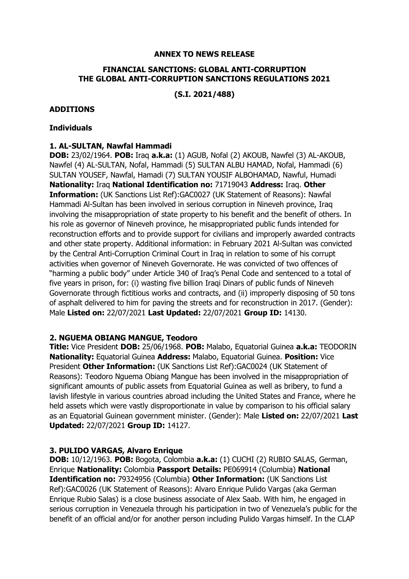### **ANNEX TO NEWS RELEASE**

### **FINANCIAL SANCTIONS: GLOBAL ANTI-CORRUPTION THE GLOBAL ANTI-CORRUPTION SANCTIONS REGULATIONS 2021**

**(S.I. 2021/488)**

#### **ADDITIONS**

#### **Individuals**

### **1. AL-SULTAN, Nawfal Hammadi**

**DOB:** 23/02/1964. **POB:** Iraq **a.k.a:** (1) AGUB, Nofal (2) AKOUB, Nawfel (3) AL-AKOUB, Nawfel (4) AL-SULTAN, Nofal, Hammadi (5) SULTAN ALBU HAMAD, Nofal, Hammadi (6) SULTAN YOUSEF, Nawfal, Hamadi (7) SULTAN YOUSIF ALBOHAMAD, Nawful, Humadi **Nationality:** Iraq **National Identification no:** 71719043 **Address:** Iraq. **Other Information:** (UK Sanctions List Ref):GAC0027 (UK Statement of Reasons): Nawfal Hammadi Al-Sultan has been involved in serious corruption in Nineveh province, Iraq involving the misappropriation of state property to his benefit and the benefit of others. In his role as governor of Nineveh province, he misappropriated public funds intended for reconstruction efforts and to provide support for civilians and improperly awarded contracts and other state property. Additional information: in February 2021 Al-Sultan was convicted by the Central Anti-Corruption Criminal Court in Iraq in relation to some of his corrupt activities when governor of Nineveh Governorate. He was convicted of two offences of "harming a public body" under Article 340 of Iraq's Penal Code and sentenced to a total of five years in prison, for: (i) wasting five billion Iraqi Dinars of public funds of Nineveh Governorate through fictitious works and contracts, and (ii) improperly disposing of 50 tons of asphalt delivered to him for paving the streets and for reconstruction in 2017. (Gender): Male **Listed on:** 22/07/2021 **Last Updated:** 22/07/2021 **Group ID:** 14130.

### **2. NGUEMA OBIANG MANGUE, Teodoro**

**Title:** Vice President **DOB:** 25/06/1968. **POB:** Malabo, Equatorial Guinea **a.k.a:** TEODORIN **Nationality:** Equatorial Guinea **Address:** Malabo, Equatorial Guinea. **Position:** Vice President **Other Information:** (UK Sanctions List Ref):GAC0024 (UK Statement of Reasons): Teodoro Nguema Obiang Mangue has been involved in the misappropriation of significant amounts of public assets from Equatorial Guinea as well as bribery, to fund a lavish lifestyle in various countries abroad including the United States and France, where he held assets which were vastly disproportionate in value by comparison to his official salary as an Equatorial Guinean government minister. (Gender): Male **Listed on:** 22/07/2021 **Last Updated:** 22/07/2021 **Group ID:** 14127.

### **3. PULIDO VARGAS, Alvaro Enrique**

**DOB:** 10/12/1963. **POB:** Bogota, Colombia **a.k.a:** (1) CUCHI (2) RUBIO SALAS, German, Enrique **Nationality:** Colombia **Passport Details:** PE069914 (Columbia) **National Identification no:** 79324956 (Columbia) **Other Information:** (UK Sanctions List Ref):GAC0026 (UK Statement of Reasons): Alvaro Enrique Pulido Vargas (aka German Enrique Rubio Salas) is a close business associate of Alex Saab. With him, he engaged in serious corruption in Venezuela through his participation in two of Venezuela's public for the benefit of an official and/or for another person including Pulido Vargas himself. In the CLAP